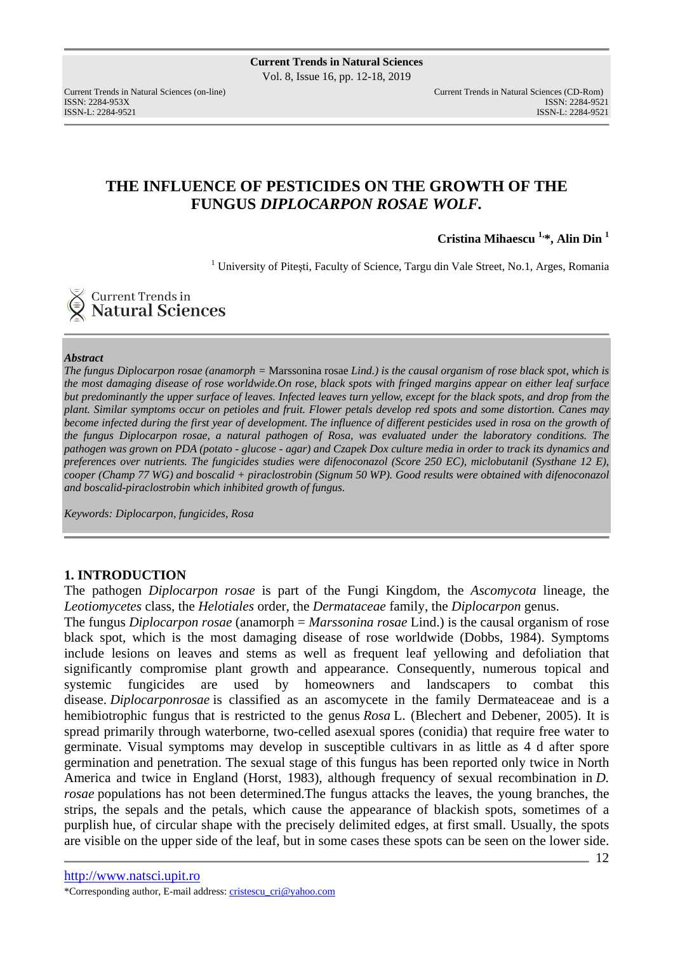# **THE INFLUENCE OF PESTICIDES ON THE GROWTH OF THE FUNGUS** *DIPLOCARPON ROSAE WOLF.*

**Cristina Mihaescu 1,\*, Alin Din <sup>1</sup>**

<sup>1</sup> University of Pitești, Faculty of Science, Targu din Vale Street, No.1, Arges, Romania

**Current Trends in<br>Natural Sciences** 

#### *Abstract*

*The fungus Diplocarpon rosae (anamorph =* Marssonina rosae *Lind.) is the causal organism of rose black spot, which is the most damaging disease of rose worldwide.On rose, black spots with fringed margins appear on either leaf surface but predominantly the upper surface of leaves. Infected leaves turn yellow, except for the black spots, and drop from the plant. Similar symptoms occur on petioles and fruit. Flower petals develop red spots and some distortion. Canes may become infected during the first year of development. The influence of different pesticides used in rosa on the growth of the fungus Diplocarpon rosae, a natural pathogen of Rosa, was evaluated under the laboratory conditions. The pathogen was grown on PDA (potato - glucose - agar) and Czapek Dox culture media in order to track its dynamics and preferences over nutrients. The fungicides studies were difenoconazol (Score 250 EC), miclobutanil (Systhane 12 E), cooper (Champ 77 WG) and boscalid + piraclostrobin (Signum 50 WP). Good results were obtained with difenoconazol and boscalid-piraclostrobin which inhibited growth of fungus.* 

*Keywords: Diplocarpon, fungicides, Rosa* 

## **1. INTRODUCTION**

The pathogen *Diplocarpon rosae* is part of the Fungi Kingdom, the *Ascomycota* lineage, the *Leotiomycetes* class, the *Helotiales* order, the *Dermataceae* family, the *Diplocarpon* genus.

The fungus *Diplocarpon rosae* (anamorph = *Marssonina rosae* Lind.) is the causal organism of rose black spot, which is the most damaging disease of rose worldwide (Dobbs, 1984). Symptoms include lesions on leaves and stems as well as frequent leaf yellowing and defoliation that significantly compromise plant growth and appearance. Consequently, numerous topical and systemic fungicides are used by homeowners and landscapers to combat this disease. *Diplocarponrosae* is classified as an ascomycete in the family Dermateaceae and is a hemibiotrophic fungus that is restricted to the genus *Rosa* L. (Blechert and Debener, 2005). It is spread primarily through waterborne, two-celled asexual spores (conidia) that require free water to germinate. Visual symptoms may develop in susceptible cultivars in as little as 4 d after spore germination and penetration. The sexual stage of this fungus has been reported only twice in North America and twice in England (Horst, 1983), although frequency of sexual recombination in *D. rosae* populations has not been determined.The fungus attacks the leaves, the young branches, the strips, the sepals and the petals, which cause the appearance of blackish spots, sometimes of a purplish hue, of circular shape with the precisely delimited edges, at first small. Usually, the spots are visible on the upper side of the leaf, but in some cases these spots can be seen on the lower side.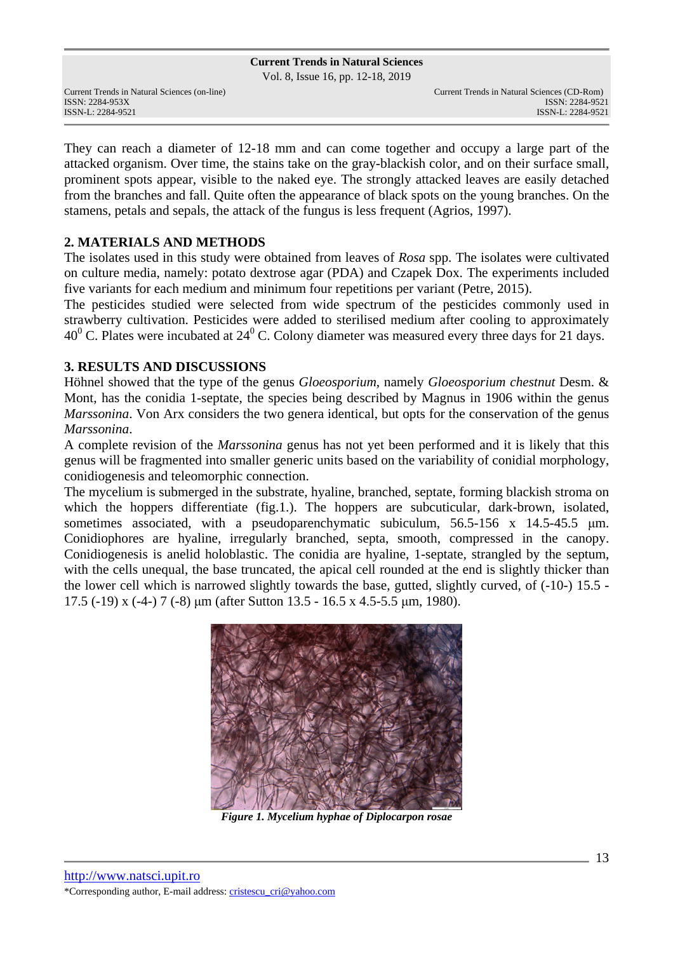Vol. 8, Issue 16, pp. 12-18, 2019

Current Trends in Natural Sciences (on-line) Current Trends in Natural Sciences (CD-Rom)

They can reach a diameter of 12-18 mm and can come together and occupy a large part of the attacked organism. Over time, the stains take on the gray-blackish color, and on their surface small, prominent spots appear, visible to the naked eye. The strongly attacked leaves are easily detached from the branches and fall. Quite often the appearance of black spots on the young branches. On the stamens, petals and sepals, the attack of the fungus is less frequent (Agrios, 1997).

# **2. MATERIALS AND METHODS**

The isolates used in this study were obtained from leaves of *Rosa* spp. The isolates were cultivated on culture media, namely: potato dextrose agar (PDA) and Czapek Dox. The experiments included five variants for each medium and minimum four repetitions per variant (Petre, 2015).

The pesticides studied were selected from wide spectrum of the pesticides commonly used in strawberry cultivation. Pesticides were added to sterilised medium after cooling to approximately 40 $\rm ^0$  C. Plates were incubated at 24 $\rm ^0$  C. Colony diameter was measured every three days for 21 days.

# **3. RESULTS AND DISCUSSIONS**

Höhnel showed that the type of the genus *Gloeosporium*, namely *Gloeosporium chestnut* Desm. & Mont, has the conidia 1-septate, the species being described by Magnus in 1906 within the genus *Marssonina*. Von Arx considers the two genera identical, but opts for the conservation of the genus *Marssonina*.

A complete revision of the *Marssonina* genus has not yet been performed and it is likely that this genus will be fragmented into smaller generic units based on the variability of conidial morphology, conidiogenesis and teleomorphic connection.

The mycelium is submerged in the substrate, hyaline, branched, septate, forming blackish stroma on which the hoppers differentiate (fig.1.). The hoppers are subcuticular, dark-brown, isolated, sometimes associated, with a pseudoparenchymatic subiculum,  $56.5-156 \times 14.5-45.5 \mu m$ . Conidiophores are hyaline, irregularly branched, septa, smooth, compressed in the canopy. Conidiogenesis is anelid holoblastic. The conidia are hyaline, 1-septate, strangled by the septum, with the cells unequal, the base truncated, the apical cell rounded at the end is slightly thicker than the lower cell which is narrowed slightly towards the base, gutted, slightly curved, of (-10-) 15.5 - 17.5 (-19) x (-4-) 7 (-8) µm (after Sutton 13.5 - 16.5 x 4.5-5.5 µm, 1980).



*Figure 1. Mycelium hyphae of Diplocarpon rosae*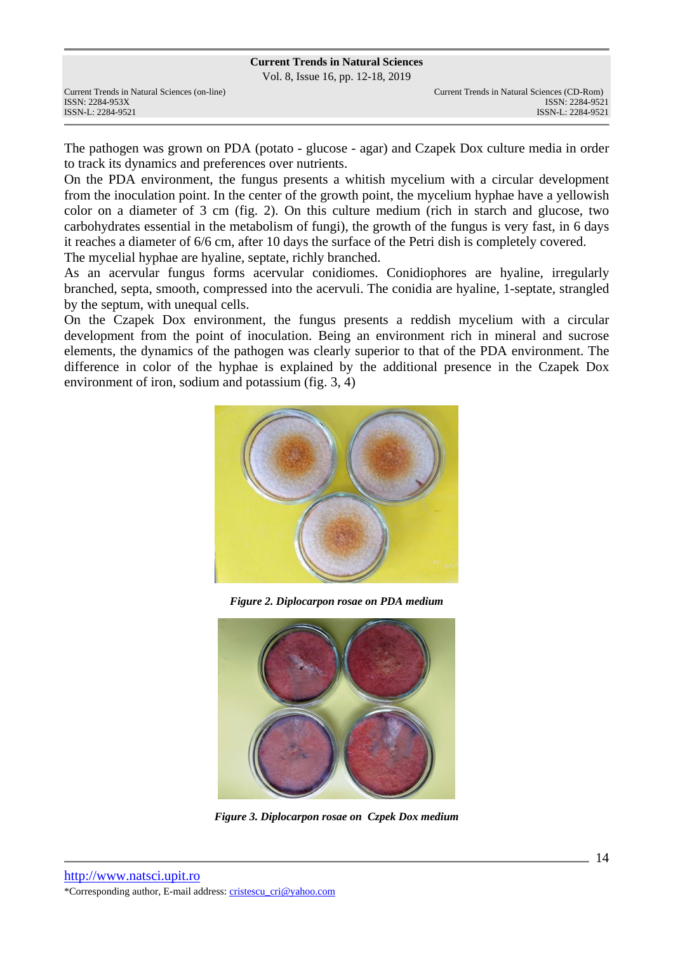Vol. 8, Issue 16, pp. 12-18, 2019

The pathogen was grown on PDA (potato - glucose - agar) and Czapek Dox culture media in order to track its dynamics and preferences over nutrients.

On the PDA environment, the fungus presents a whitish mycelium with a circular development from the inoculation point. In the center of the growth point, the mycelium hyphae have a yellowish color on a diameter of 3 cm (fig. 2). On this culture medium (rich in starch and glucose, two carbohydrates essential in the metabolism of fungi), the growth of the fungus is very fast, in 6 days it reaches a diameter of 6/6 cm, after 10 days the surface of the Petri dish is completely covered. The mycelial hyphae are hyaline, septate, richly branched.

As an acervular fungus forms acervular conidiomes. Conidiophores are hyaline, irregularly branched, septa, smooth, compressed into the acervuli. The conidia are hyaline, 1-septate, strangled by the septum, with unequal cells.

On the Czapek Dox environment, the fungus presents a reddish mycelium with a circular development from the point of inoculation. Being an environment rich in mineral and sucrose elements, the dynamics of the pathogen was clearly superior to that of the PDA environment. The difference in color of the hyphae is explained by the additional presence in the Czapek Dox environment of iron, sodium and potassium (fig. 3, 4)



*Figure 2. Diplocarpon rosae on PDA medium*



*Figure 3. Diplocarpon rosae on Czpek Dox medium*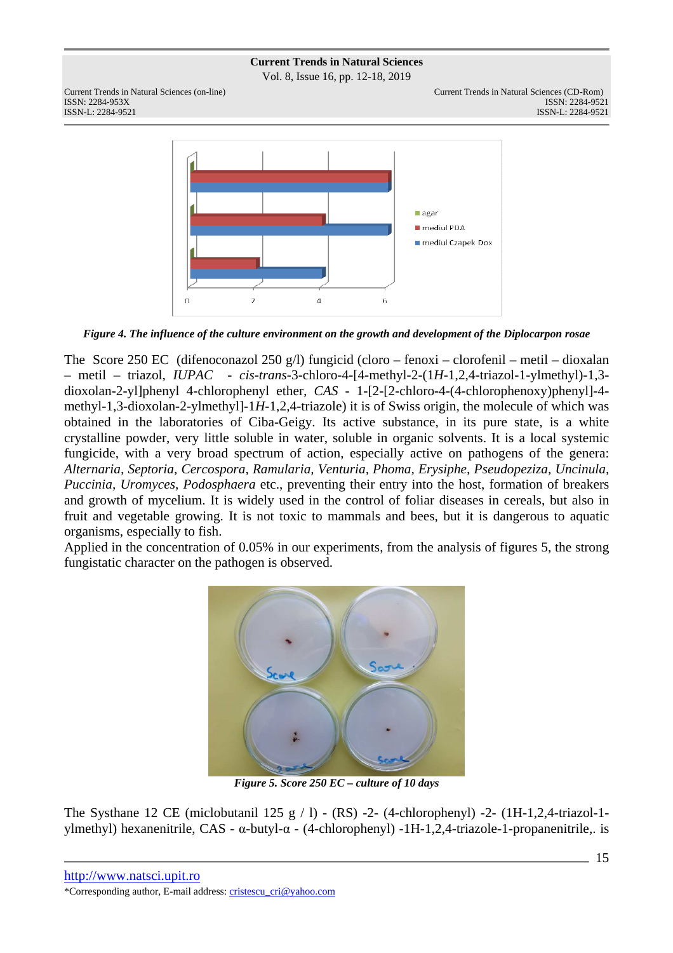Vol. 8, Issue 16, pp. 12-18, 2019



*Figure 4. The influence of the culture environment on the growth and development of the Diplocarpon rosae* 

The Score 250 EC (difenoconazol 250 g/l) fungicid (cloro – fenoxi – clorofenil – metil – dioxalan – metil – triazol, *IUPAC - cis-trans*-3-chloro-4-[4-methyl-2-(1*H*-1,2,4-triazol-1-ylmethyl)-1,3 dioxolan-2-yl]phenyl 4-chlorophenyl ether*, CAS -* 1-[2-[2-chloro-4-(4-chlorophenoxy)phenyl]-4 methyl-1,3-dioxolan-2-ylmethyl]-1*H*-1,2,4-triazole) it is of Swiss origin, the molecule of which was obtained in the laboratories of Ciba-Geigy. Its active substance, in its pure state, is a white crystalline powder, very little soluble in water, soluble in organic solvents. It is a local systemic fungicide, with a very broad spectrum of action, especially active on pathogens of the genera: *Alternaria, Septoria, Cercospora, Ramularia, Venturia, Phoma, Erysiphe, Pseudopeziza, Uncinula, Puccinia, Uromyces, Podosphaera* etc., preventing their entry into the host, formation of breakers and growth of mycelium. It is widely used in the control of foliar diseases in cereals, but also in fruit and vegetable growing. It is not toxic to mammals and bees, but it is dangerous to aquatic organisms, especially to fish.

Applied in the concentration of 0.05% in our experiments, from the analysis of figures 5, the strong fungistatic character on the pathogen is observed.



*Figure 5. Score 250 EC – culture of 10 days* 

The Systhane 12 CE (miclobutanil 125 g  $/$  l) - (RS) -2- (4-chlorophenyl) -2- (1H-1,2,4-triazol-1ylmethyl) hexanenitrile, CAS - α-butyl-α - (4-chlorophenyl) -1H-1,2,4-triazole-1-propanenitrile,. is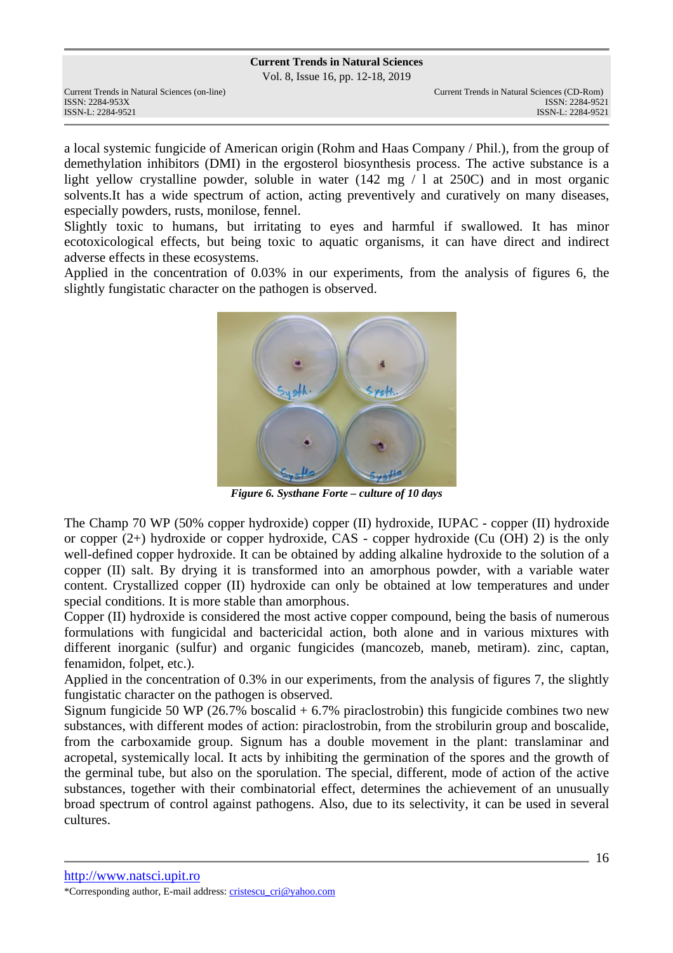Vol. 8, Issue 16, pp. 12-18, 2019

a local systemic fungicide of American origin (Rohm and Haas Company / Phil.), from the group of demethylation inhibitors (DMI) in the ergosterol biosynthesis process. The active substance is a light yellow crystalline powder, soluble in water (142 mg / l at 250C) and in most organic solvents.It has a wide spectrum of action, acting preventively and curatively on many diseases, especially powders, rusts, monilose, fennel.

Slightly toxic to humans, but irritating to eyes and harmful if swallowed. It has minor ecotoxicological effects, but being toxic to aquatic organisms, it can have direct and indirect adverse effects in these ecosystems.

Applied in the concentration of 0.03% in our experiments, from the analysis of figures 6, the slightly fungistatic character on the pathogen is observed.



*Figure 6. Systhane Forte – culture of 10 days* 

The Champ 70 WP (50% copper hydroxide) copper (II) hydroxide, IUPAC - copper (II) hydroxide or copper (2+) hydroxide or copper hydroxide, CAS - copper hydroxide (Cu (OH) 2) is the only well-defined copper hydroxide. It can be obtained by adding alkaline hydroxide to the solution of a copper (II) salt. By drying it is transformed into an amorphous powder, with a variable water content. Crystallized copper (II) hydroxide can only be obtained at low temperatures and under special conditions. It is more stable than amorphous.

Copper (II) hydroxide is considered the most active copper compound, being the basis of numerous formulations with fungicidal and bactericidal action, both alone and in various mixtures with different inorganic (sulfur) and organic fungicides (mancozeb, maneb, metiram). zinc, captan, fenamidon, folpet, etc.).

Applied in the concentration of 0.3% in our experiments, from the analysis of figures 7, the slightly fungistatic character on the pathogen is observed.

Signum fungicide 50 WP (26.7% boscalid  $+ 6.7\%$  piraclostrobin) this fungicide combines two new substances, with different modes of action: piraclostrobin, from the strobilurin group and boscalide, from the carboxamide group. Signum has a double movement in the plant: translaminar and acropetal, systemically local. It acts by inhibiting the germination of the spores and the growth of the germinal tube, but also on the sporulation. The special, different, mode of action of the active substances, together with their combinatorial effect, determines the achievement of an unusually broad spectrum of control against pathogens. Also, due to its selectivity, it can be used in several cultures.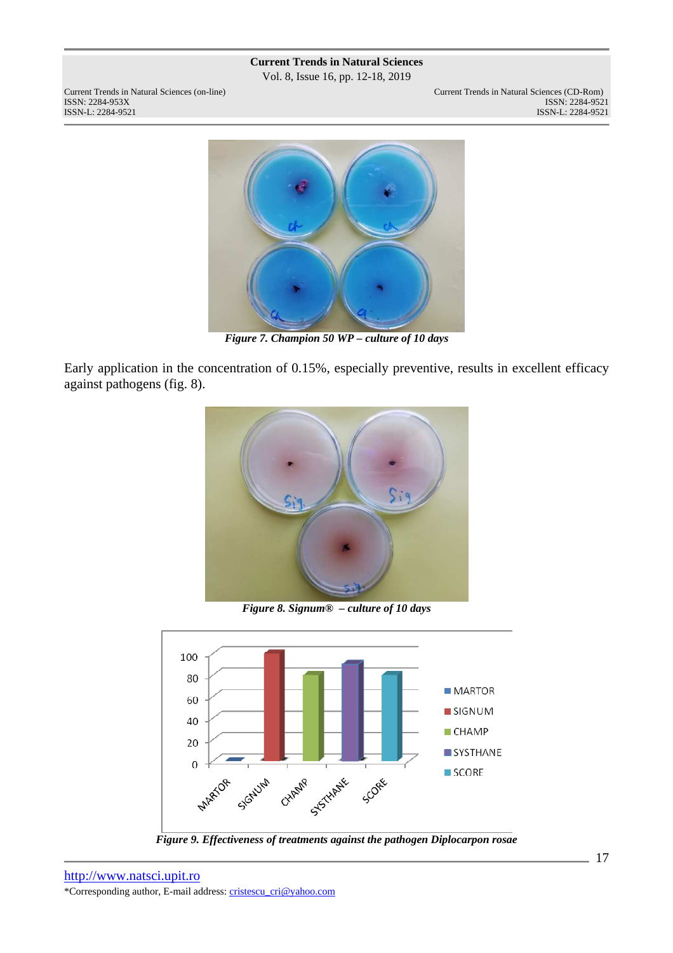Vol. 8, Issue 16, pp. 12-18, 2019



*Figure 7. Champion 50 WP – culture of 10 days* 

Early application in the concentration of 0.15%, especially preventive, results in excellent efficacy against pathogens (fig. 8).



*Figure 8. Signum® – culture of 10 days* 



*Figure 9. Effectiveness of treatments against the pathogen Diplocarpon rosae*